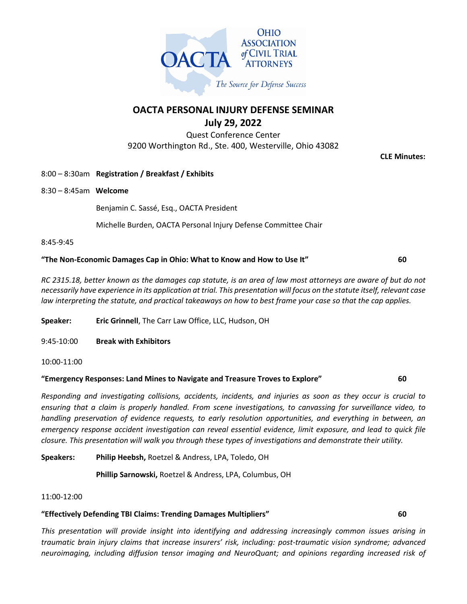

**OACTA PERSONAL INJURY DEFENSE SEMINAR July 29, 2022**

Quest Conference Center 9200 Worthington Rd., Ste. 400, Westerville, Ohio 43082

**CLE Minutes:**

- 8:00 8:30am **Registration / Breakfast / Exhibits**
- 8:30 8:45am **Welcome**

Benjamin C. Sassé, Esq., OACTA President

Michelle Burden, OACTA Personal Injury Defense Committee Chair

8:45-9:45

#### **"The Non-Economic Damages Cap in Ohio: What to Know and How to Use It" 60**

*RC 2315.18, better known as the damages cap statute, is an area of law most attorneys are aware of but do not necessarily have experience in its application at trial. This presentation will focus on the statute itself, relevant case law interpreting the statute, and practical takeaways on how to best frame your case so that the cap applies.*

**Speaker: Eric Grinnell**, The Carr Law Office, LLC, Hudson, OH

9:45-10:00 **Break with Exhibitors**

### **"Emergency Responses: Land Mines to Navigate and Treasure Troves to Explore" 60**

*Responding and investigating collisions, accidents, incidents, and injuries as soon as they occur is crucial to ensuring that a claim is properly handled. From scene investigations, to canvassing for surveillance video, to handling preservation of evidence requests, to early resolution opportunities, and everything in between, an emergency response accident investigation can reveal essential evidence, limit exposure, and lead to quick file closure. This presentation will walk you through these types of investigations and demonstrate their utility.*

**Speakers: Philip Heebsh,** Roetzel & Andress, LPA, Toledo, OH

**Phillip Sarnowski,** Roetzel & Andress, LPA, Columbus, OH

### 11:00-12:00

# **"Effectively Defending TBI Claims: Trending Damages Multipliers" 60**

*This presentation will provide insight into identifying and addressing increasingly common issues arising in traumatic brain injury claims that increase insurers' risk, including: post-traumatic vision syndrome; advanced neuroimaging, including diffusion tensor imaging and NeuroQuant; and opinions regarding increased risk of* 

<sup>10:00-11:00</sup>